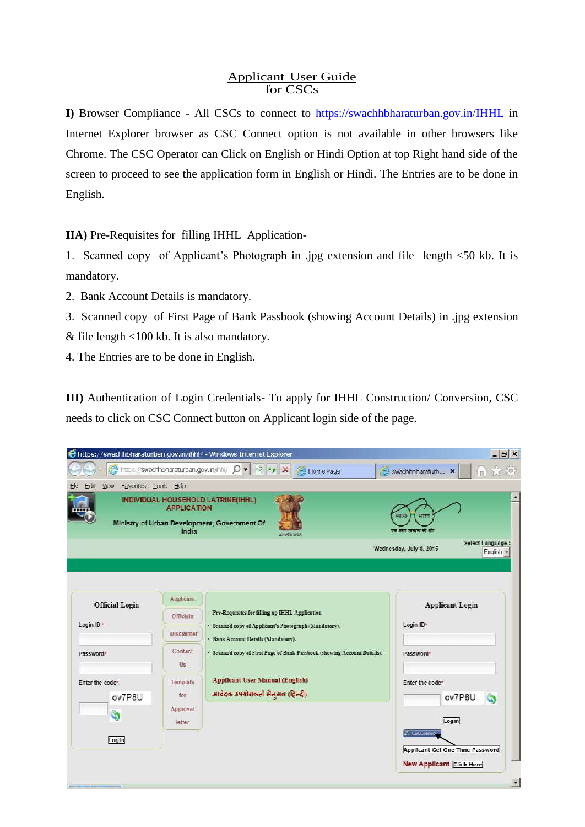### Applicant User Guide for CSCs

**I)** Browser Compliance - All CSCs to connect to<https://swachhbharaturban.gov.in/IHHL> in Internet Explorer browser as CSC Connect option is not available in other browsers like Chrome. The CSC Operator can Click on English or Hindi Option at top Right hand side of the screen to proceed to see the application form in English or Hindi. The Entries are to be done in English.

**IIA)** Pre-Requisites for filling IHHL Application-

1. Scanned copy of Applicant's Photograph in .jpg extension and file length <50 kb. It is mandatory.

- 2. Bank Account Details is mandatory.
- 3. Scanned copy of First Page of Bank Passbook (showing Account Details) in .jpg extension
- & file length <100 kb. It is also mandatory.
- 4. The Entries are to be done in English.

**III)** Authentication of Login Credentials- To apply for IHHL Construction/ Conversion, CSC needs to click on CSC Connect button on Applicant login side of the page.

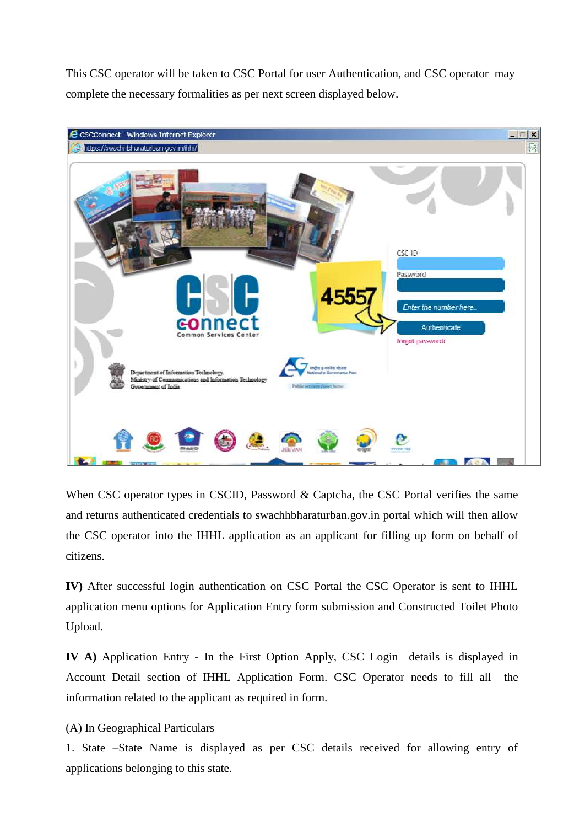This CSC operator will be taken to CSC Portal for user Authentication, and CSC operator may complete the necessary formalities as per next screen displayed below.



When CSC operator types in CSCID, Password & Captcha, the CSC Portal verifies the same and returns authenticated credentials to swachhbharaturban.gov.in portal which will then allow the CSC operator into the IHHL application as an applicant for filling up form on behalf of citizens.

**IV)** After successful login authentication on CSC Portal the CSC Operator is sent to IHHL application menu options for Application Entry form submission and Constructed Toilet Photo Upload.

**IV A)** Application Entry - In the First Option Apply, CSC Login details is displayed in Account Detail section of IHHL Application Form. CSC Operator needs to fill all the information related to the applicant as required in form.

# (A) In Geographical Particulars

1. State –State Name is displayed as per CSC details received for allowing entry of applications belonging to this state.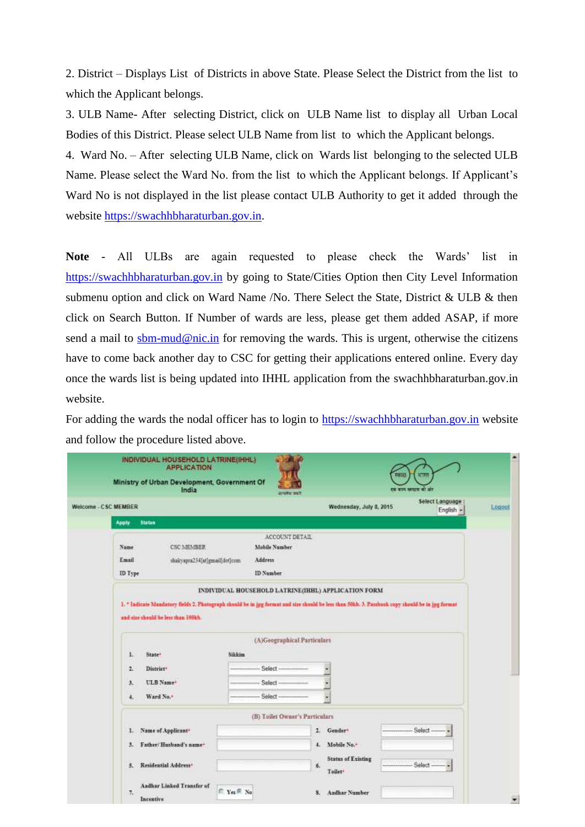2. District – Displays List of Districts in above State. Please Select the District from the list to which the Applicant belongs.

3. ULB Name- After selecting District, click on ULB Name list to display all Urban Local Bodies of this District. Please select ULB Name from list to which the Applicant belongs.

4. Ward No. – After selecting ULB Name, click on Wards list belonging to the selected ULB Name. Please select the Ward No. from the list to which the Applicant belongs. If Applicant's Ward No is not displayed in the list please contact ULB Authority to get it added through the website [https://swachhbharaturban.gov.in.](https://swachhbharaturban.gov.in/)

**Note** - All ULBs are again requested to please check the Wards' list in [https://swachhbharaturban.gov.in](https://swachhbharaturban.gov.in/) by going to State/Cities Option then City Level Information submenu option and click on Ward Name /No. There Select the State, District & ULB & then click on Search Button. If Number of wards are less, please get them added ASAP, if more send a mail to [sbm-mud@nic.in](mailto:sbm-mud@nic.in) for removing the wards. This is urgent, otherwise the citizens have to come back another day to CSC for getting their applications entered online. Every day once the wards list is being updated into IHHL application from the swachhbharaturban.gov.in website.

For adding the wards the nodal officer has to login to [https://swachhbharaturban.gov.in](https://swachhbharaturban.gov.in/) website and follow the procedure listed above.

| Welcome - CSC MEMBER                                                                                                                             |                               |                                        | Wednesday, July 8, 2015                             |        | Select Language: |
|--------------------------------------------------------------------------------------------------------------------------------------------------|-------------------------------|----------------------------------------|-----------------------------------------------------|--------|------------------|
| <b>Status</b><br>Apply                                                                                                                           |                               |                                        |                                                     |        | English -        |
|                                                                                                                                                  |                               |                                        |                                                     |        |                  |
| Name<br><b>CSC MEMBER</b>                                                                                                                        |                               | ACCOUNT DETAIL<br><b>Mobile Number</b> |                                                     |        |                  |
| Email                                                                                                                                            | shakyapra234[at]gmail[def]com | Address                                |                                                     |        |                  |
| ID Type                                                                                                                                          |                               | ID Number                              |                                                     |        |                  |
|                                                                                                                                                  |                               |                                        | INDIVIDUAL HOUSEHOLD LATRINE(IHHL) APPLICATION FORM |        |                  |
| 1. * Indicate Mandatory fields 2. Photograph should be in jpg formut and size should be less than 50kh. 3. Passbook copy should be in jpg format |                               |                                        |                                                     |        |                  |
|                                                                                                                                                  |                               |                                        |                                                     |        |                  |
| and size should be less than 100kh.                                                                                                              |                               |                                        |                                                     |        |                  |
|                                                                                                                                                  |                               |                                        |                                                     |        |                  |
|                                                                                                                                                  |                               | (A)Geographical Particulars            |                                                     |        |                  |
| ī.<br>State <sup>*</sup>                                                                                                                         | Sikkim                        |                                        |                                                     |        |                  |
| ă.<br>District <sup>+</sup>                                                                                                                      |                               | Select-                                |                                                     |        |                  |
| ULB Name <sup>+</sup><br>з.                                                                                                                      |                               | Select                                 |                                                     |        |                  |
| Ward No. <sup>+</sup><br>4.                                                                                                                      |                               | Select-                                |                                                     |        |                  |
|                                                                                                                                                  |                               | (B) Toilet Owner's Particulars         |                                                     |        |                  |
| Name of Applicant <sup>+</sup><br>1.                                                                                                             |                               |                                        | 2<br>Gender <sup>®</sup>                            | Select |                  |
| Father/Husband's name+<br>з.                                                                                                                     |                               |                                        | Mobile No.+<br>Ł                                    |        |                  |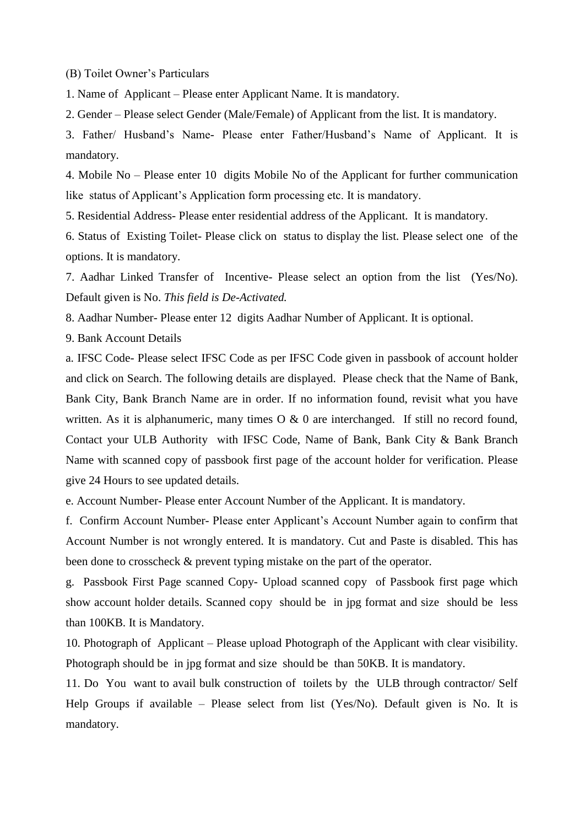(B) Toilet Owner's Particulars

1. Name of Applicant – Please enter Applicant Name. It is mandatory.

2. Gender – Please select Gender (Male/Female) of Applicant from the list. It is mandatory.

3. Father/ Husband's Name- Please enter Father/Husband's Name of Applicant. It is mandatory.

4. Mobile No – Please enter 10 digits Mobile No of the Applicant for further communication like status of Applicant's Application form processing etc. It is mandatory.

5. Residential Address- Please enter residential address of the Applicant. It is mandatory.

6. Status of Existing Toilet- Please click on status to display the list. Please select one of the options. It is mandatory.

7. Aadhar Linked Transfer of Incentive- Please select an option from the list (Yes/No). Default given is No. *This field is De-Activated.*

8. Aadhar Number- Please enter 12 digits Aadhar Number of Applicant. It is optional.

9. Bank Account Details

a. IFSC Code- Please select IFSC Code as per IFSC Code given in passbook of account holder and click on Search. The following details are displayed. Please check that the Name of Bank, Bank City, Bank Branch Name are in order. If no information found, revisit what you have written. As it is alphanumeric, many times  $O & 0$  are interchanged. If still no record found, Contact your ULB Authority with IFSC Code, Name of Bank, Bank City & Bank Branch Name with scanned copy of passbook first page of the account holder for verification. Please give 24 Hours to see updated details.

e. Account Number- Please enter Account Number of the Applicant. It is mandatory.

f. Confirm Account Number- Please enter Applicant's Account Number again to confirm that Account Number is not wrongly entered. It is mandatory. Cut and Paste is disabled. This has been done to crosscheck & prevent typing mistake on the part of the operator.

g. Passbook First Page scanned Copy- Upload scanned copy of Passbook first page which show account holder details. Scanned copy should be in jpg format and size should be less than 100KB. It is Mandatory.

10. Photograph of Applicant – Please upload Photograph of the Applicant with clear visibility. Photograph should be in jpg format and size should be than 50KB. It is mandatory.

11. Do You want to avail bulk construction of toilets by the ULB through contractor/ Self Help Groups if available – Please select from list (Yes/No). Default given is No. It is mandatory.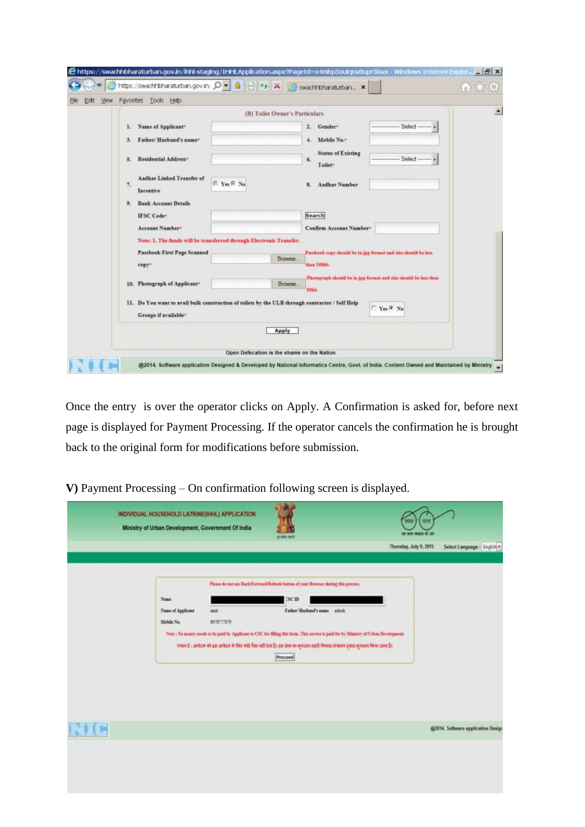| Edit<br>View | Favorites                         | Tools Help                                                                                                    |                                                                                                 |                    |                                                                                                                                                 |                   |   |
|--------------|-----------------------------------|---------------------------------------------------------------------------------------------------------------|-------------------------------------------------------------------------------------------------|--------------------|-------------------------------------------------------------------------------------------------------------------------------------------------|-------------------|---|
|              |                                   |                                                                                                               | (B) Toilet Owner's Particulars                                                                  |                    |                                                                                                                                                 |                   | ۰ |
|              | 1.<br>з.<br>5.<br>7,<br>Incentive | Name of Applicant <sup>+</sup><br>Father/Husband's name*<br>Residential Address-<br>Aadhar Linked Transfer of | E Yes <sup>E</sup> No                                                                           |                    | Gender*<br>2.<br>Mobile No. <sup>®</sup><br>c<br><b>Status of Existing</b><br>虱<br>Tollee <sup>®</sup><br><b>Aadhar Number</b>                  | Select-<br>Select |   |
|              | 9.<br>IFSC Code:                  | <b>Bank Account Details</b><br>Account Number®                                                                | Note: 1. The funds will be transferred through Electronic Transfer.                             |                    | Search<br>Confirm Account Number+                                                                                                               |                   |   |
|              | copy+                             | Pattbook First Page Scanned<br>10. Photograph of Applicant <sup>+</sup>                                       |                                                                                                 | Browse.<br>Browse. | Paubook copy should be in jug farmat and size cheald be less<br>than 100kh.<br>Photograph should be in jpg formut and size should be less thou- |                   |   |
|              |                                   | Groups if available <sup>4</sup>                                                                              | 11. Do You want to avail bulk construction of toilets by the ULB through contractor / Self Help |                    | <b>SILL</b>                                                                                                                                     | Tes F No          |   |
|              |                                   |                                                                                                               |                                                                                                 | Apply              |                                                                                                                                                 |                   |   |

Once the entry is over the operator clicks on Apply. A Confirmation is asked for, before next page is displayed for Payment Processing. If the operator cancels the confirmation he is brought back to the original form for modifications before submission.

| INDIVIDUAL HOUSEHOLD LATRINE(IHHL) APPLICATION<br>Ministry of Urban Development, Government Of India |                              | <b>BINKI WIT</b>                                                                                                                                                                                                                                                                                                                                                                                                   |                        |                                    |
|------------------------------------------------------------------------------------------------------|------------------------------|--------------------------------------------------------------------------------------------------------------------------------------------------------------------------------------------------------------------------------------------------------------------------------------------------------------------------------------------------------------------------------------------------------------------|------------------------|------------------------------------|
|                                                                                                      |                              |                                                                                                                                                                                                                                                                                                                                                                                                                    | Thursday, July 5, 2015 | Select Language : English =        |
| Name:<br>Name of Applicant<br>Meble No.                                                              | m <sub>2</sub><br>8978777879 | Pices: do not use Back/Forward/Refinds batton of yone Browser during this process.<br>I'SC ID<br>Father Husband's name attack<br>Note: No money areds to be paid by Applicant to CSC for filling this form. This service is paid for by Minister of Urban Development<br>र मान है : अमेहम को इस अमेहम के लिए कोई मैंना नहीं होता है। इस सेवा का मुख्यान राष्ट्री मिनाफ़ संकाल हालस मुखाबर किया जाना है।<br>Proceed |                        |                                    |
|                                                                                                      |                              |                                                                                                                                                                                                                                                                                                                                                                                                                    |                        | @2014. Software opplication Design |
|                                                                                                      |                              |                                                                                                                                                                                                                                                                                                                                                                                                                    |                        |                                    |

**V)** Payment Processing – On confirmation following screen is displayed.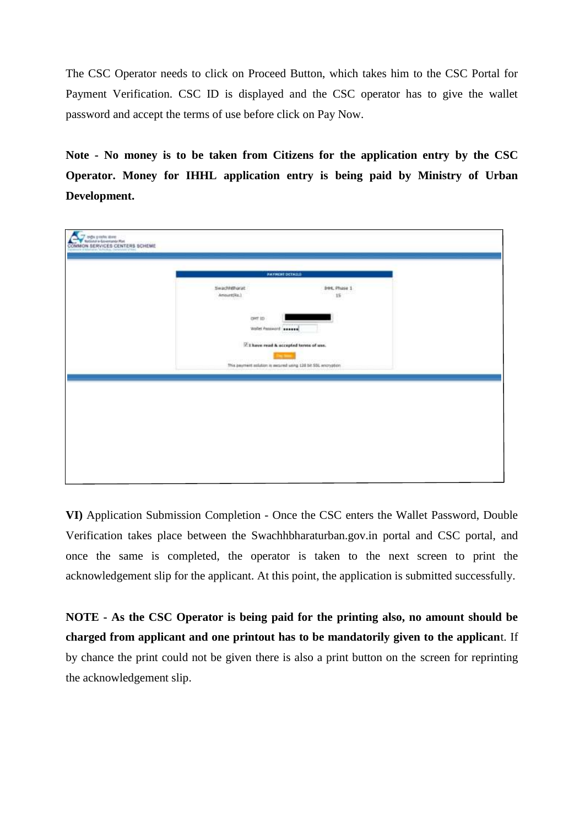The CSC Operator needs to click on Proceed Button, which takes him to the CSC Portal for Payment Verification. CSC ID is displayed and the CSC operator has to give the wallet password and accept the terms of use before click on Pay Now.

**Note - No money is to be taken from Citizens for the application entry by the CSC Operator. Money for IHHL application entry is being paid by Ministry of Urban Development.**

| time, Phase 1<br>SwachhBharat<br>ar<br>15<br>$\text{Amount(Re.)}$<br>ニコムウ<br>get to<br><b>WARD AND</b><br>weist housed search<br>$\overline{\mathbb{M}}$ I have read & accepted terms of use.<br>This payment asiation is awared using 128 St SSL encryption |  | <b>PAYMENT DETAILS</b> |  |
|--------------------------------------------------------------------------------------------------------------------------------------------------------------------------------------------------------------------------------------------------------------|--|------------------------|--|
|                                                                                                                                                                                                                                                              |  |                        |  |
|                                                                                                                                                                                                                                                              |  |                        |  |
|                                                                                                                                                                                                                                                              |  |                        |  |
|                                                                                                                                                                                                                                                              |  |                        |  |

**VI)** Application Submission Completion - Once the CSC enters the Wallet Password, Double Verification takes place between the Swachhbharaturban.gov.in portal and CSC portal, and once the same is completed, the operator is taken to the next screen to print the acknowledgement slip for the applicant. At this point, the application is submitted successfully.

**NOTE - As the CSC Operator is being paid for the printing also, no amount should be charged from applicant and one printout has to be mandatorily given to the applican**t. If by chance the print could not be given there is also a print button on the screen for reprinting the acknowledgement slip.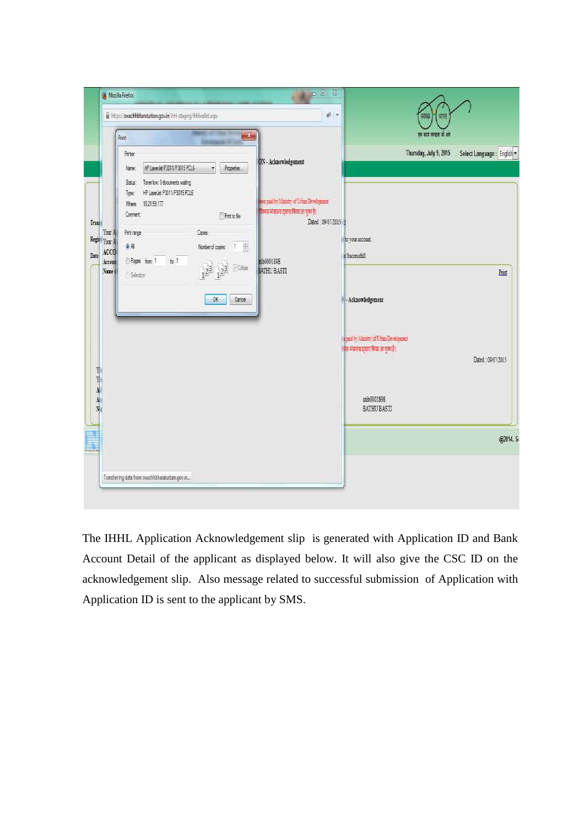

The IHHL Application Acknowledgement slip is generated with Application ID and Bank Account Detail of the applicant as displayed below. It will also give the CSC ID on the acknowledgement slip. Also message related to successful submission of Application with Application ID is sent to the applicant by SMS.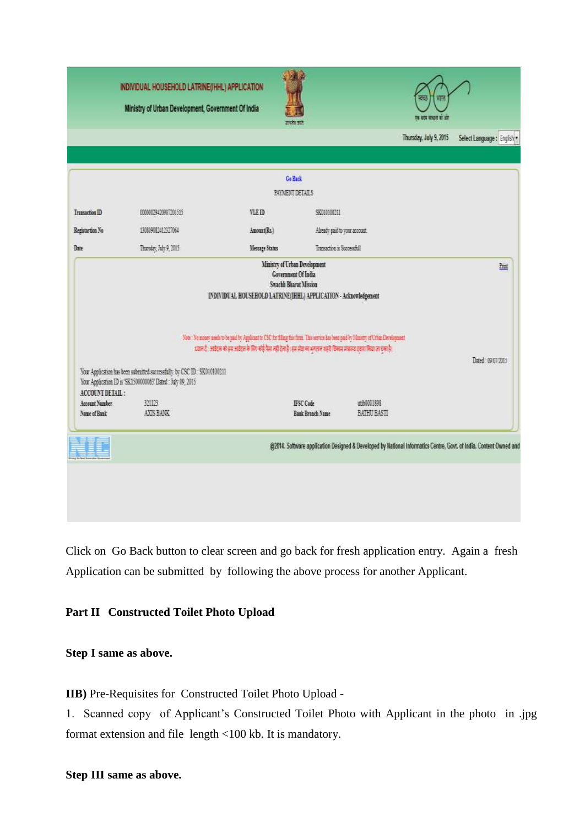

Click on Go Back button to clear screen and go back for fresh application entry. Again a fresh Application can be submitted by following the above process for another Applicant.

# **Part II Constructed Toilet Photo Upload**

**Step I same as above.**

**IIB)** Pre-Requisites for Constructed Toilet Photo Upload -

1. Scanned copy of Applicant's Constructed Toilet Photo with Applicant in the photo in .jpg format extension and file length <100 kb. It is mandatory.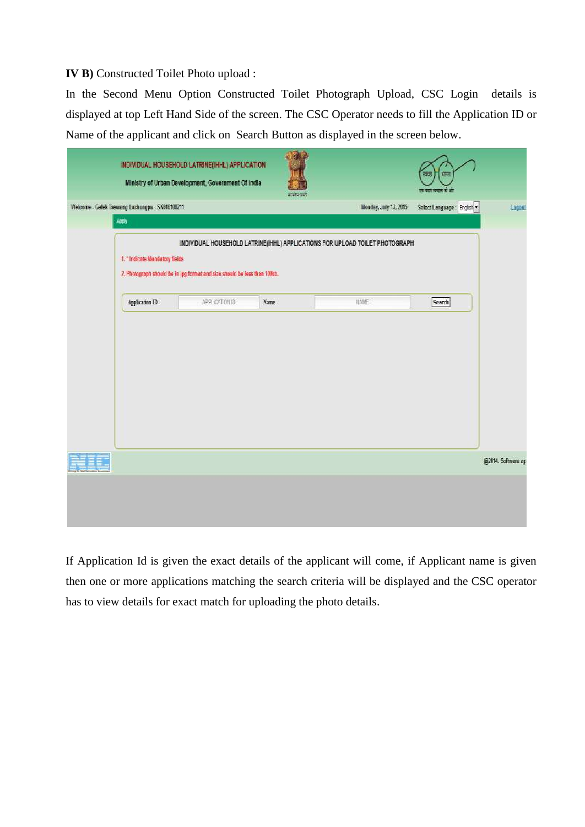### **IV B)** Constructed Toilet Photo upload :

In the Second Menu Option Constructed Toilet Photograph Upload, CSC Login details is displayed at top Left Hand Side of the screen. The CSC Operator needs to fill the Application ID or Name of the applicant and click on Search Button as displayed in the screen below.

|     |                                                 | INDIVIDUAL HOUSEHOLD LATRINE(IHHL) APPLICATION<br>Ministry of Urban Development, Government Of India                                                      |      | इन्द्रीय काले |                       | 類現<br><b>ROCKS</b><br>हर रहा सदस से सं |                    |
|-----|-------------------------------------------------|-----------------------------------------------------------------------------------------------------------------------------------------------------------|------|---------------|-----------------------|----------------------------------------|--------------------|
|     | Welcome - Gelek Tsewang Lachungpa - SK010100211 |                                                                                                                                                           |      |               | Monday, July 13, 2015 | Select Language: English *             | Logout             |
|     | Apply<br>1. "Indicate Mandatory fields          | INDIVIDUAL HOUSEHOLD LATRINE(IHHL) APPLICATIONS FOR UPLOAD TOILET PHOTOGRAPH<br>2. Photograph should be in jpg format and size should be less than 100kb. |      |               |                       |                                        |                    |
|     | Application ID                                  | APPLICATION ID                                                                                                                                            | Name |               | NAME                  | Search                                 |                    |
| II. |                                                 |                                                                                                                                                           |      |               |                       |                                        | @2014. Software ap |
|     |                                                 |                                                                                                                                                           |      |               |                       |                                        |                    |

If Application Id is given the exact details of the applicant will come, if Applicant name is given then one or more applications matching the search criteria will be displayed and the CSC operator has to view details for exact match for uploading the photo details.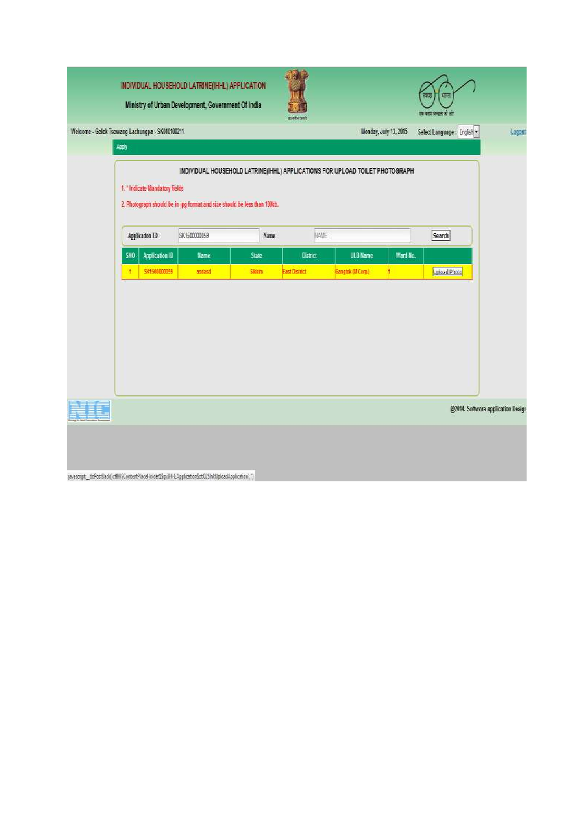